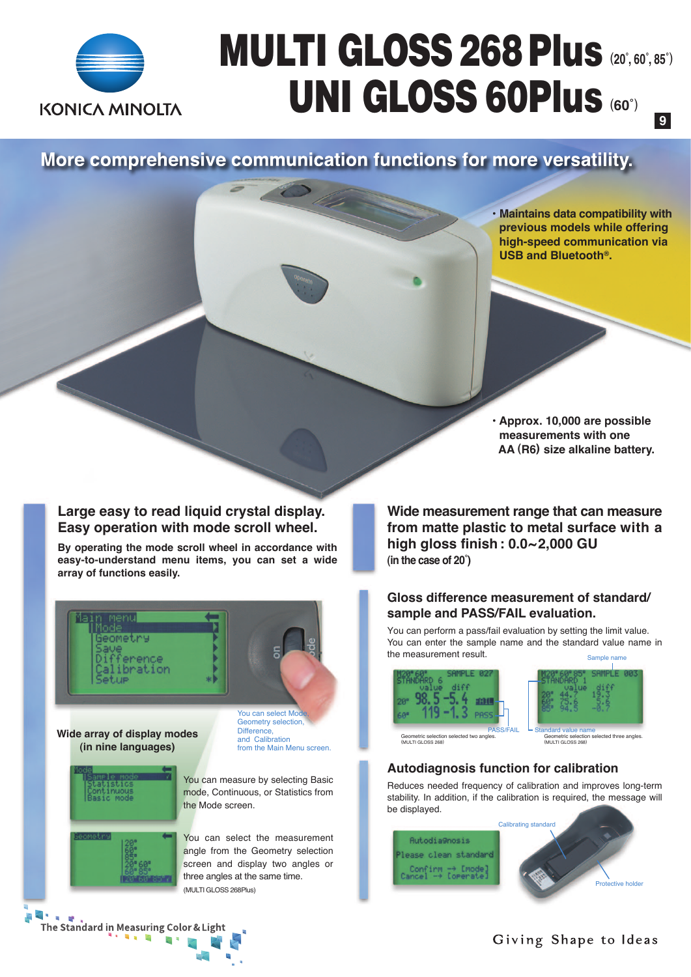

## MULTI GLOSS 268Plus (**20˚, 60˚, 85˚**) UNI GLOSS 60Plus (**60˚**) **9**

More comprehensive communication functions for more versatility.

**• Maintains data compatibility with previous models while offering high-speed communication via USB and Bluetooth®.**

**• Approx. 10,000 are possible measurements with one AA (R6) size alkaline battery.**

**Large easy to read liquid crystal display. Easy operation with mode scroll wheel.**

**By operating the mode scroll wheel in accordance with easy-to-understand menu items, you can set a wide array of functions easily.**



**Wide array of display modes (in nine languages)**

You can select Mod Geometry selection, Difference, and Calibration from the Main Menu screen.



You can measure by selecting Basic mode, Continuous, or Statistics from the Mode screen.

You can select the measurement angle from the Geometry selection screen and display two angles or three angles at the same time. (MULTI GLOSS 268Plus)

**Wide measurement range that can measure from matte plastic to metal surface with a high gloss finish: 0.0~2,000 GU (in the case of 20˚)**

#### **Gloss difference measurement of standard/ sample and PASS/FAIL evaluation.**

You can perform a pass/fail evaluation by setting the limit value. You can enter the sample name and the standard value name in the measurement result.





Geometric selection selected two angles. (MULTI GLOSS 268)

### Geometric selection selected three angles. (MULTI GLOSS 268)

#### **Autodiagnosis function for calibration**

Reduces needed frequency of calibration and improves long-term stability. In addition, if the calibration is required, the message will be displayed.



 $\overline{a}$ The Standard in Measuring Color & Light  $\leq$ 

#### Giving Shape to Ideas